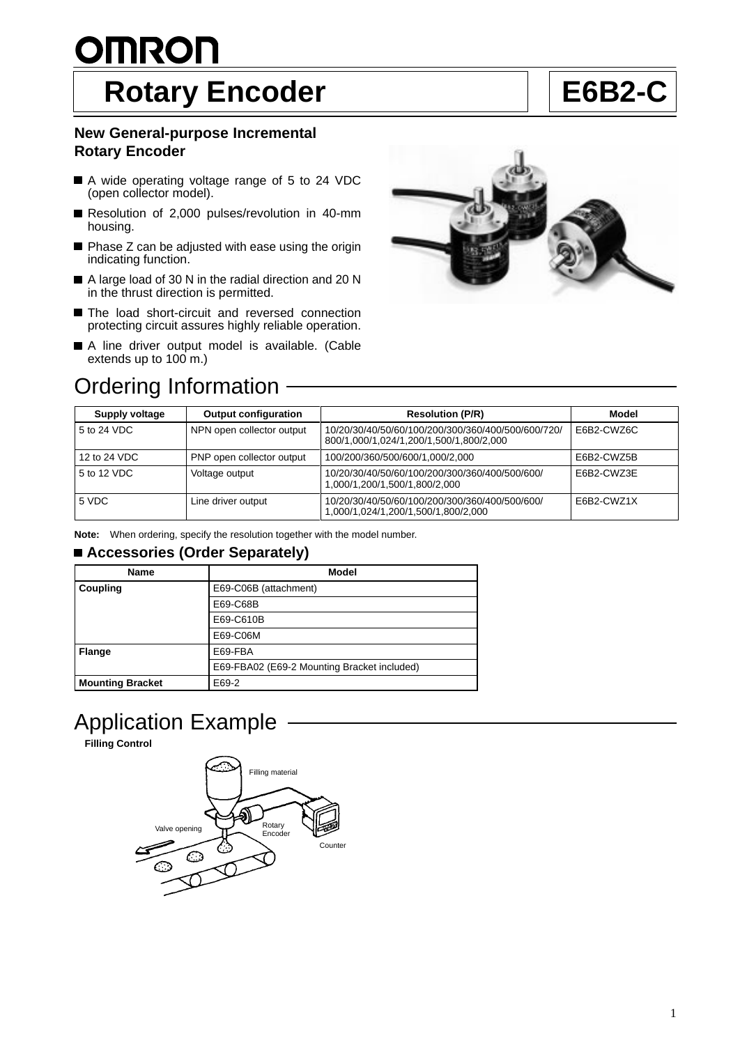# <u>OMRON</u> Rotary Encoder **E6B2-C**

# **New General-purpose Incremental Rotary Encoder**

- A wide operating voltage range of 5 to 24 VDC (open collector model).
- Resolution of 2,000 pulses/revolution in 40-mm housing.
- $\blacksquare$  Phase Z can be adjusted with ease using the origin indicating function.
- A large load of 30 N in the radial direction and 20 N in the thrust direction is permitted.
- The load short-circuit and reversed connection protecting circuit assures highly reliable operation.
- A line driver output model is available. (Cable extends up to 100 m.)





| Supply voltage | <b>Output configuration</b> | <b>Resolution (P/R)</b>                                                                       | Model      |
|----------------|-----------------------------|-----------------------------------------------------------------------------------------------|------------|
| 5 to 24 VDC    | NPN open collector output   | 10/20/30/40/50/60/100/200/300/360/400/500/600/720/<br>800/1,000/1,024/1,200/1,500/1,800/2,000 | E6B2-CWZ6C |
| 12 to 24 VDC   | PNP open collector output   | 100/200/360/500/600/1,000/2,000                                                               | E6B2-CWZ5B |
| 5 to 12 VDC    | Voltage output              | 10/20/30/40/50/60/100/200/300/360/400/500/600/<br>1,000/1,200/1,500/1,800/2,000               | E6B2-CWZ3E |
| 5 VDC          | Line driver output          | 10/20/30/40/50/60/100/200/300/360/400/500/600/<br>000,2/000/1,500/1,500/2,000.1/000/1,024     | E6B2-CWZ1X |

**Note:** When ordering, specify the resolution together with the model number.

# ■ Accessories (Order Separately)

| Name                    | Model                                       |
|-------------------------|---------------------------------------------|
| Coupling                | E69-C06B (attachment)                       |
|                         | E69-C68B                                    |
|                         | E69-C610B                                   |
|                         | E69-C06M                                    |
| <b>Flange</b>           | E69-FBA                                     |
|                         | E69-FBA02 (E69-2 Mounting Bracket included) |
| <b>Mounting Bracket</b> | E69-2                                       |

# Application Example

**Filling Control**

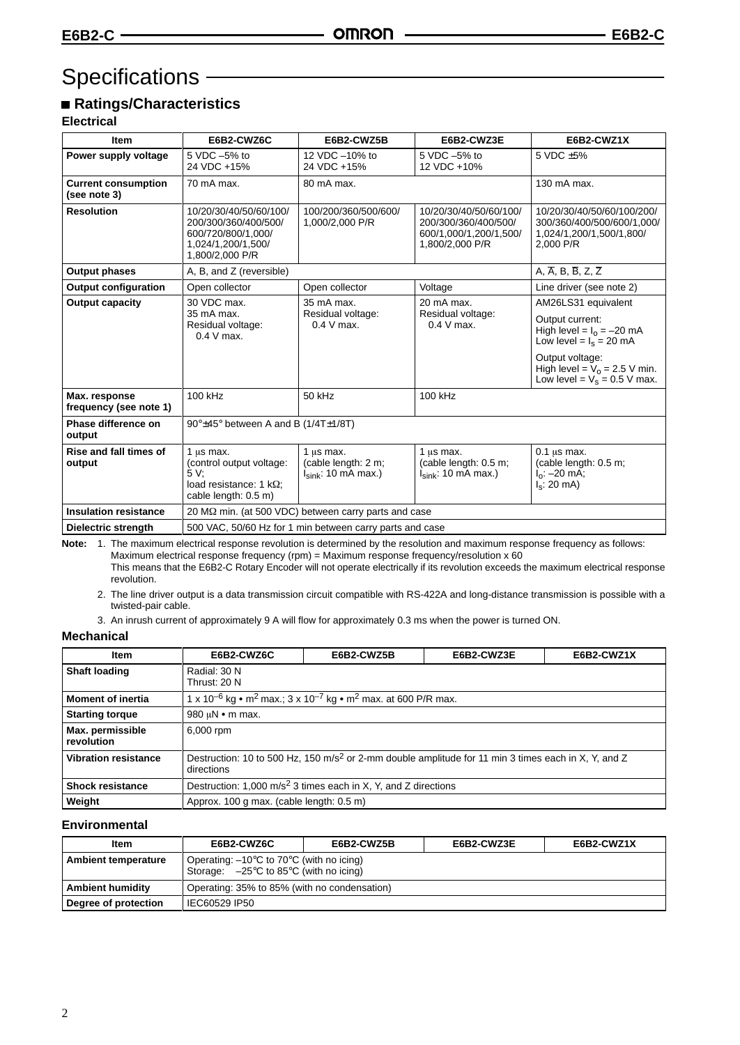# Specifications – **Container Specifications**

# ■ Ratings/Characteristics

# **Electrical**

| <b>Item</b>                                | E6B2-CWZ6C                                                                                                    | E6B2-CWZ5B                                                        | E6B2-CWZ3E<br>E6B2-CWZ1X                                                                                                                           |                                                                                                   |  |
|--------------------------------------------|---------------------------------------------------------------------------------------------------------------|-------------------------------------------------------------------|----------------------------------------------------------------------------------------------------------------------------------------------------|---------------------------------------------------------------------------------------------------|--|
| Power supply voltage                       | 5 VDC -5% to<br>24 VDC +15%                                                                                   | 12 VDC -10% to<br>24 VDC +15%                                     | 5 VDC -5% to<br>12 VDC +10%                                                                                                                        | 5 VDC ±5%                                                                                         |  |
| <b>Current consumption</b><br>(see note 3) | 70 mA max.                                                                                                    | 80 mA max.                                                        |                                                                                                                                                    | 130 mA max.                                                                                       |  |
| <b>Resolution</b>                          | 10/20/30/40/50/60/100/<br>200/300/360/400/500/<br>600/720/800/1.000/<br>1,024/1,200/1,500/<br>1,800/2,000 P/R | 100/200/360/500/600/<br>1,000/2,000 P/R                           | 10/20/30/40/50/60/100/<br>200/300/360/400/500/<br>600/1,000/1,200/1,500/<br>1,800/2,000 P/R                                                        | 10/20/30/40/50/60/100/200/<br>300/360/400/500/600/1.000/<br>1,024/1,200/1,500/1,800/<br>2.000 P/R |  |
| <b>Output phases</b>                       | A, B, and Z (reversible)                                                                                      |                                                                   |                                                                                                                                                    | A, $\overline{A}$ , B, $\overline{B}$ , Z, $\overline{Z}$                                         |  |
| <b>Output configuration</b>                | Open collector                                                                                                | Open collector                                                    | Voltage                                                                                                                                            | Line driver (see note 2)                                                                          |  |
| <b>Output capacity</b>                     | 30 VDC max.<br>35 mA max.<br>20 mA max.                                                                       |                                                                   |                                                                                                                                                    | AM26LS31 equivalent                                                                               |  |
|                                            | 35 mA max.<br>Residual voltage:<br>$0.4 V$ max.                                                               | Residual voltage:<br>$0.4 V$ max.                                 | Residual voltage:<br>$0.4 V$ max.                                                                                                                  | Output current:<br>High level = $I_0 = -20$ mA<br>Low level = $I_s = 20$ mA                       |  |
|                                            |                                                                                                               |                                                                   |                                                                                                                                                    | Output voltage:<br>High level = $V_0$ = 2.5 V min.<br>Low level = $V_s$ = 0.5 V max.              |  |
| Max. response<br>frequency (see note 1)    | 100 kHz                                                                                                       | 50 kHz                                                            | 100 kHz                                                                                                                                            |                                                                                                   |  |
| Phase difference on<br>output              |                                                                                                               | 90°±45° between A and B (1/4T±1/8T)                               |                                                                                                                                                    |                                                                                                   |  |
| Rise and fall times of<br>output           | 1 $\mu$ s max.<br>(control output voltage:<br>5 V:<br>load resistance: 1 $k\Omega$ :<br>cable length: 0.5 m)  | 1 $\mu$ s max.<br>(cable length: 2 m;<br>$I_{sink}$ : 10 mA max.) | 1 us max.<br>$0.1$ us max.<br>(cable length: 0.5 m;<br>(cable length: 0.5 m;<br>$I_{sink}$ : 10 mA max.)<br>l <sub>o</sub> : –20 mA;<br>l.։ 20 mA) |                                                                                                   |  |
| <b>Insulation resistance</b>               | 20 M $\Omega$ min. (at 500 VDC) between carry parts and case                                                  |                                                                   |                                                                                                                                                    |                                                                                                   |  |
| Dielectric strength                        | 500 VAC, 50/60 Hz for 1 min between carry parts and case                                                      |                                                                   |                                                                                                                                                    |                                                                                                   |  |

**Note:** 1. The maximum electrical response revolution is determined by the resolution and maximum response frequency as follows: Maximum electrical response frequency (rpm) = Maximum response frequency/resolution x 60 This means that the E6B2-C Rotary Encoder will not operate electrically if its revolution exceeds the maximum electrical response revolution.

2. The line driver output is a data transmission circuit compatible with RS-422A and long-distance transmission is possible with a twisted-pair cable.

3. An inrush current of approximately 9 A will flow for approximately 0.3 ms when the power is turned ON.

# **Mechanical**

| Item                           | E6B2-CWZ6C                                                                                                                    | E6B2-CWZ5B                                                                                                   | E6B2-CWZ3E | E6B2-CWZ1X |  |
|--------------------------------|-------------------------------------------------------------------------------------------------------------------------------|--------------------------------------------------------------------------------------------------------------|------------|------------|--|
| <b>Shaft loading</b>           | Radial: 30 N<br>Thrust: 20 N                                                                                                  |                                                                                                              |            |            |  |
| <b>Moment of inertia</b>       |                                                                                                                               | 1 x 10 <sup>-6</sup> kg • m <sup>2</sup> max.; 3 x 10 <sup>-7</sup> kg • m <sup>2</sup> max. at 600 P/R max. |            |            |  |
| <b>Starting torque</b>         | 980 $\mu$ N • m max.                                                                                                          |                                                                                                              |            |            |  |
| Max. permissible<br>revolution | 6,000 rpm                                                                                                                     |                                                                                                              |            |            |  |
| <b>Vibration resistance</b>    | Destruction: 10 to 500 Hz, 150 m/s <sup>2</sup> or 2-mm double amplitude for 11 min 3 times each in X, Y, and Z<br>directions |                                                                                                              |            |            |  |
| <b>Shock resistance</b>        |                                                                                                                               | Destruction: 1,000 m/s <sup>2</sup> 3 times each in X, Y, and Z directions                                   |            |            |  |
| Weight                         | Approx. 100 g max. (cable length: 0.5 m)                                                                                      |                                                                                                              |            |            |  |

# **Environmental**

| Item                    | E6B2-CWZ6C                                                                                                                   | E6B2-CWZ5B | E6B2-CWZ3E | E6B2-CWZ1X |  |
|-------------------------|------------------------------------------------------------------------------------------------------------------------------|------------|------------|------------|--|
| Ambient temperature     | Operating: $-10^{\circ}$ C to 70 $^{\circ}$ C (with no icing)<br>Storage: $-25^{\circ}$ C to 85 $^{\circ}$ C (with no icing) |            |            |            |  |
| <b>Ambient humidity</b> | Operating: 35% to 85% (with no condensation)                                                                                 |            |            |            |  |
| Degree of protection    | IEC60529 IP50                                                                                                                |            |            |            |  |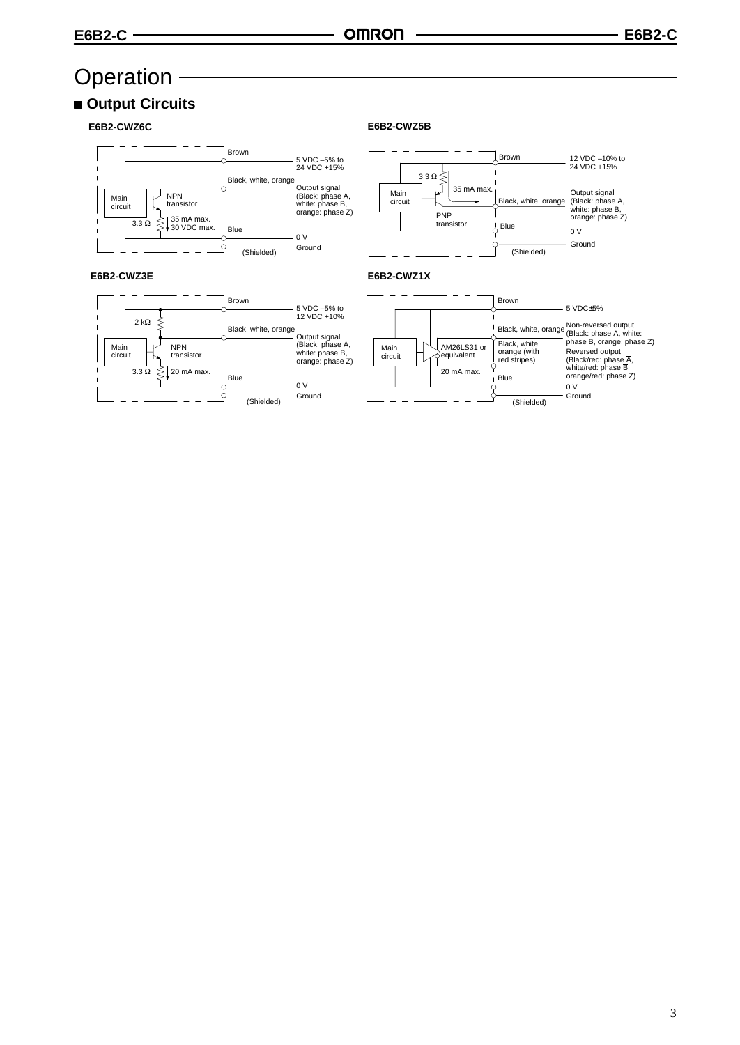# **Operation**

# ■ Output Circuits

**E6B2-CWZ6C**



## **E6B2-CWZ5B**



## **E6B2-CWZ3E E6B2-CWZ1X**  $\overline{\phantom{a}}$



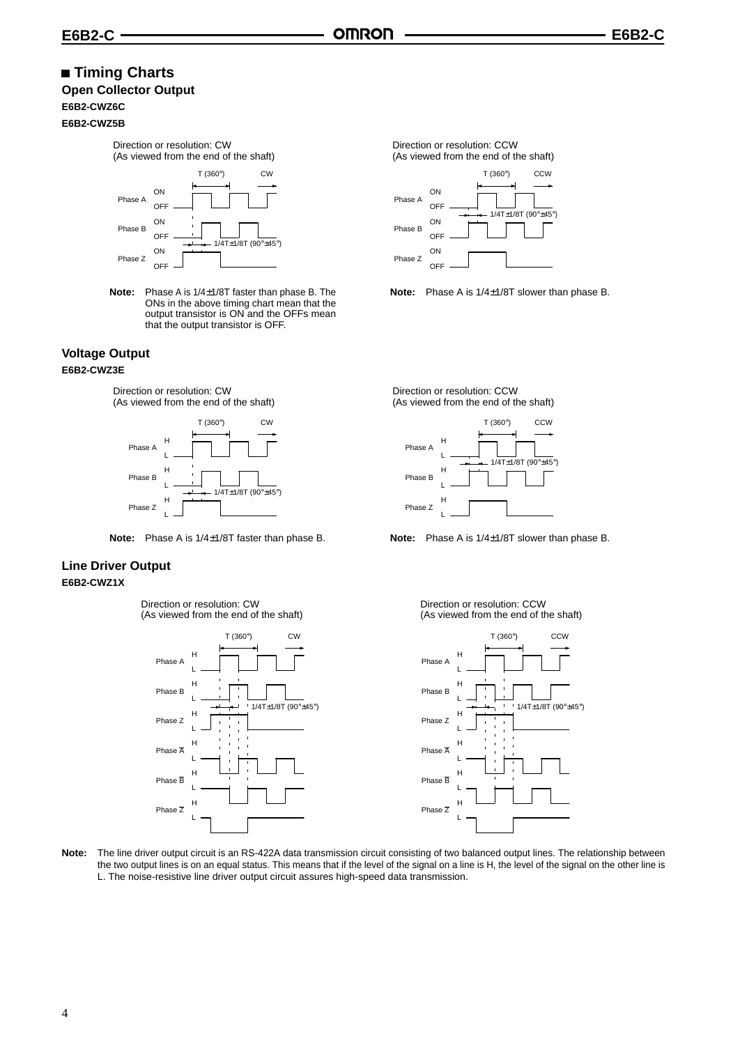# **Timing Charts**

# **Open Collector Output**

## **E6B2-CWZ6C E6B2-CWZ5B**



**Note:** Phase A is 1/4±1/8T faster than phase B. The ONs in the above timing chart mean that the output transistor is ON and the OFFs mean that the output transistor is OFF.

# **Voltage Output E6B2-CWZ3E**

Direction or resolution: CW (As viewed from the end of the shaft)





# **Line Driver Output E6B2-CWZ1X**

Direction or resolution: CW (As viewed from the end of the shaft)





**Note:** Phase A is 1/4±1/8T slower than phase B.

Direction or resolution: CCW (As viewed from the end of the shaft)



#### Direction or resolution: CCW (As viewed from the end of the shaft)



**Note:** The line driver output circuit is an RS-422A data transmission circuit consisting of two balanced output lines. The relationship between the two output lines is on an equal status. This means that if the level of the signal on a line is H, the level of the signal on the other line is L. The noise-resistive line driver output circuit assures high-speed data transmission.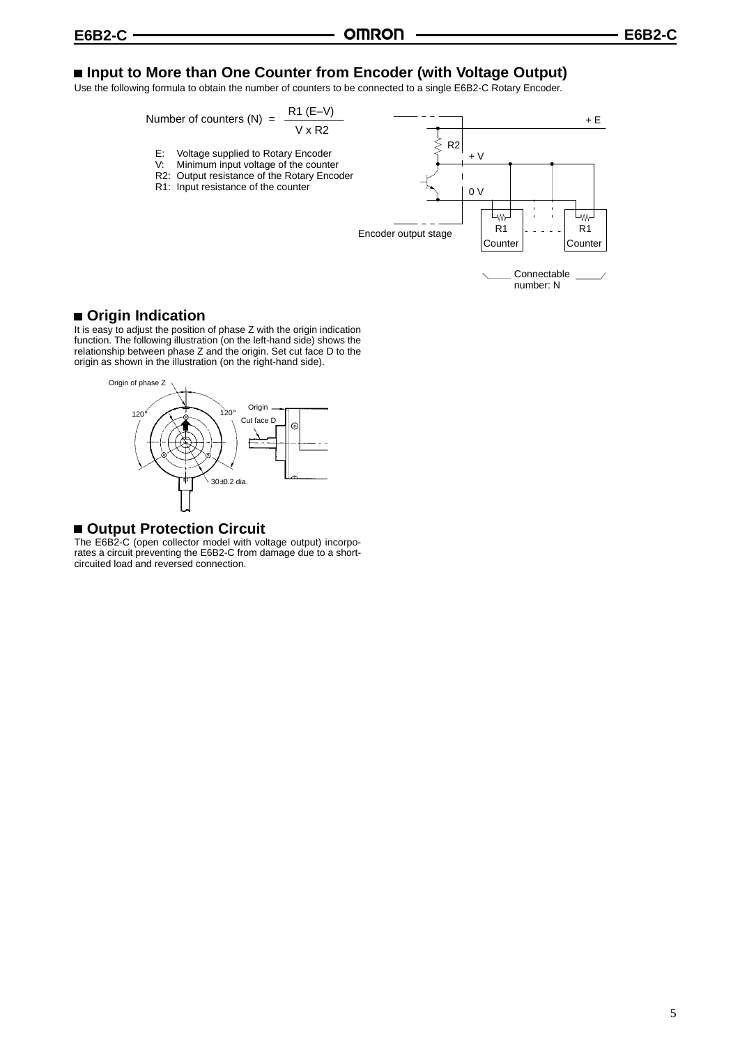# ■ Input to More than One Counter from Encoder (with Voltage Output)

Use the following formula to obtain the number of counters to be connected to a single E6B2-C Rotary Encoder.

Number of counters (N) = 
$$
\frac{R1 (E-V)}{V \times R2}
$$

- E: Voltage supplied to Rotary Encoder
- V: Minimum input voltage of the counter
- R2: Output resistance of the Rotary Encoder
- R1: Input resistance of the counter



# **Origin Indication**

It is easy to adjust the position of phase Z with the origin indication function. The following illustration (on the left-hand side) shows the relationship between phase Z and the origin. Set cut face D to the origin as shown in the illustration (on the right-hand side).



# **Output Protection Circuit**

The E6B2-C (open collector model with voltage output) incorporates a circuit preventing the E6B2-C from damage due to a shortcircuited load and reversed connection.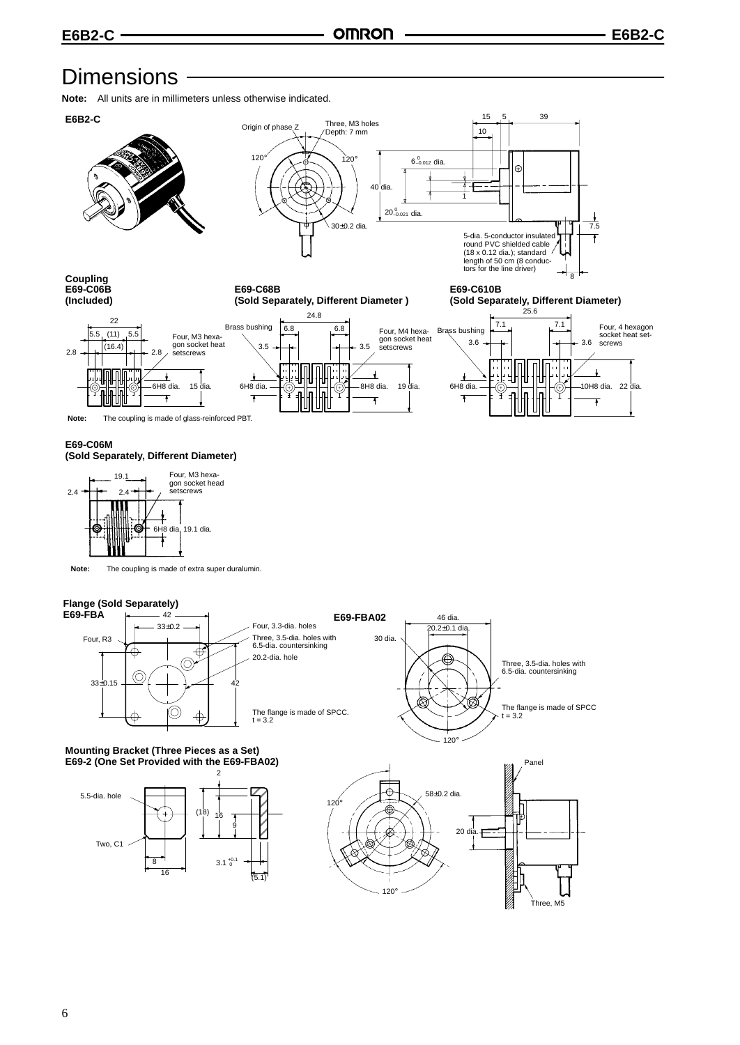# **Dimensions**

**Note:** All units are in millimeters unless otherwise indicated.



#### **E69-C06M (Sold Separately, Different Diameter)**



**Note:** The coupling is made of extra super duralumin.

# **Flange (Sold Separately)**



#### **Mounting Bracket (Three Pieces as a Set) E69-2 (One Set Provided with the E69-FBA02)**



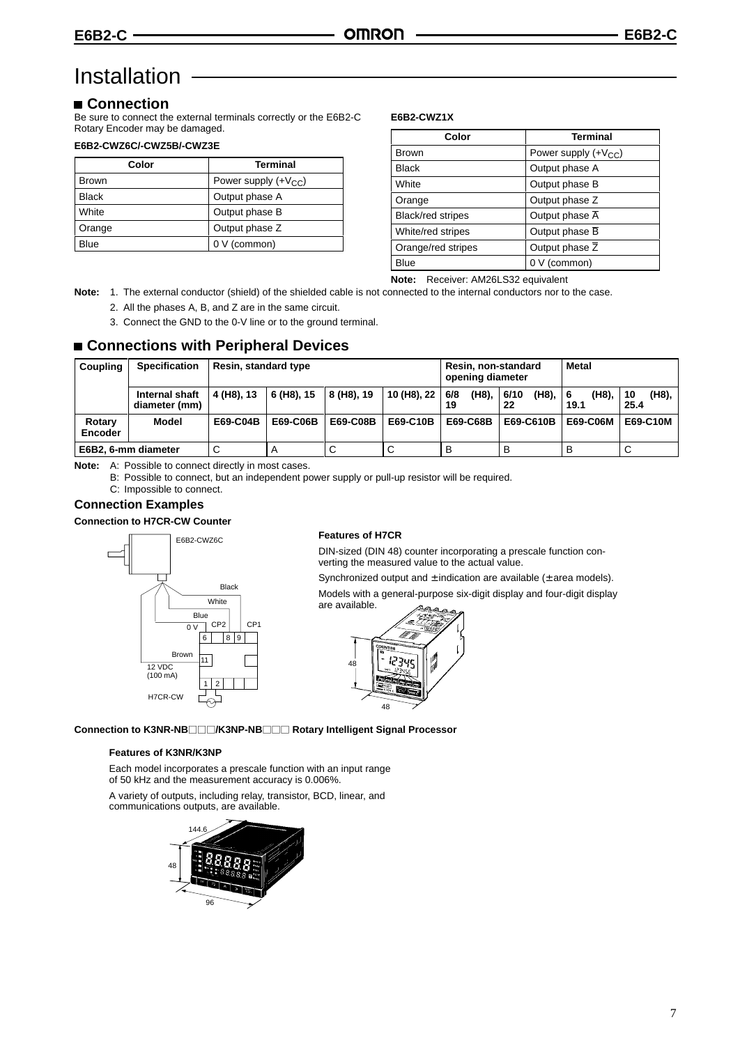# Installation

# **Connection**

Be sure to connect the external terminals correctly or the E6B2-C Rotary Encoder may be damaged.

# **E6B2-CWZ6C/-CWZ5B/-CWZ3E**

| Color        | <b>Terminal</b>          |  |
|--------------|--------------------------|--|
| <b>Brown</b> | Power supply $(+V_{CC})$ |  |
| <b>Black</b> | Output phase A           |  |
| White        | Output phase B           |  |
| Orange       | Output phase Z           |  |
| Blue         | 0 V (common)             |  |

#### **E6B2-CWZ1X**

| Color              | <b>Terminal</b>             |
|--------------------|-----------------------------|
| <b>Brown</b>       | Power supply $(+V_{CC})$    |
| <b>Black</b>       | Output phase A              |
| White              | Output phase B              |
| Orange             | Output phase Z              |
| Black/red stripes  | Output phase $\overline{A}$ |
| White/red stripes  | Output phase B              |
| Orange/red stripes | Output phase Z              |
| Blue               | 0 V (common)                |

**Note:** Receiver: AM26LS32 equivalent

**Note:** 1. The external conductor (shield) of the shielded cable is not connected to the internal conductors nor to the case. 2. All the phases A, B, and Z are in the same circuit.

3. Connect the GND to the 0-V line or to the ground terminal.

# **Connections with Peripheral Devices**

| Coupling                 | <b>Specification</b>            | Resin, standard type |            |            | Resin, non-standard<br>opening diameter |                    | Metal               |                    |                       |
|--------------------------|---------------------------------|----------------------|------------|------------|-----------------------------------------|--------------------|---------------------|--------------------|-----------------------|
|                          | Internal shaft<br>diameter (mm) | 4 (H8), 13           | 6 (H8), 15 | 8 (H8), 19 | 10 (H8), 22                             | (H8),<br>6/8<br>19 | (H8),<br>6/10<br>22 | (H8).<br>6<br>19.1 | (H8),<br>l 10<br>25.4 |
| Rotary<br><b>Encoder</b> | <b>Model</b>                    | E69-C04B             | E69-C06B   | E69-C08B   | E69-C10B                                | E69-C68B           | E69-C610B           | E69-C06M           | E69-C10M              |
|                          | E6B2, 6-mm diameter             |                      |            | C          | $\sim$<br>ັ                             | B                  | в                   | в                  | ◡                     |

**Note:** A: Possible to connect directly in most cases.

B: Possible to connect, but an independent power supply or pull-up resistor will be required.

C: Impossible to connect.

# **Connection Examples**

**Connection to H7CR-CW Counter**



#### **Features of H7CR**

DIN-sized (DIN 48) counter incorporating a prescale function converting the measured value to the actual value.

Synchronized output and  $\pm$  indication are available ( $\pm$  area models).

Models with a general-purpose six-digit display and four-digit display are available.



**Connection to K3NR-NB/K3NP-NB Rotary Intelligent Signal Processor**

### **Features of K3NR/K3NP**

Each model incorporates a prescale function with an input range of 50 kHz and the measurement accuracy is 0.006%.

A variety of outputs, including relay, transistor, BCD, linear, and communications outputs, are available.

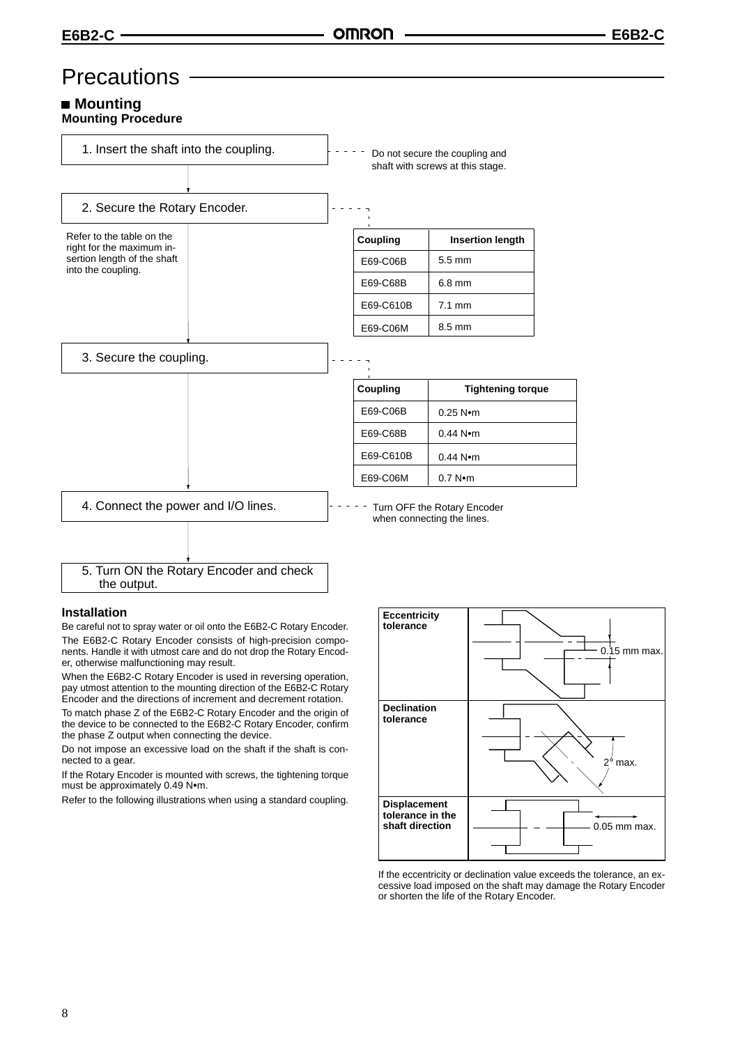# **Precautions**

## ■ Mountina **Mounting Procedure**



#### **Installation**

Be careful not to spray water or oil onto the E6B2-C Rotary Encoder. The E6B2-C Rotary Encoder consists of high-precision components. Handle it with utmost care and do not drop the Rotary Encoder, otherwise malfunctioning may result.

When the E6B2-C Rotary Encoder is used in reversing operation, pay utmost attention to the mounting direction of the E6B2-C Rotary Encoder and the directions of increment and decrement rotation.

To match phase Z of the E6B2-C Rotary Encoder and the origin of the device to be connected to the E6B2-C Rotary Encoder, confirm the phase Z output when connecting the device.

Do not impose an excessive load on the shaft if the shaft is connected to a gear.

If the Rotary Encoder is mounted with screws, the tightening torque must be approximately 0.49 Nom.

Refer to the following illustrations when using a standard coupling.



If the eccentricity or declination value exceeds the tolerance, an excessive load imposed on the shaft may damage the Rotary Encoder or shorten the life of the Rotary Encoder.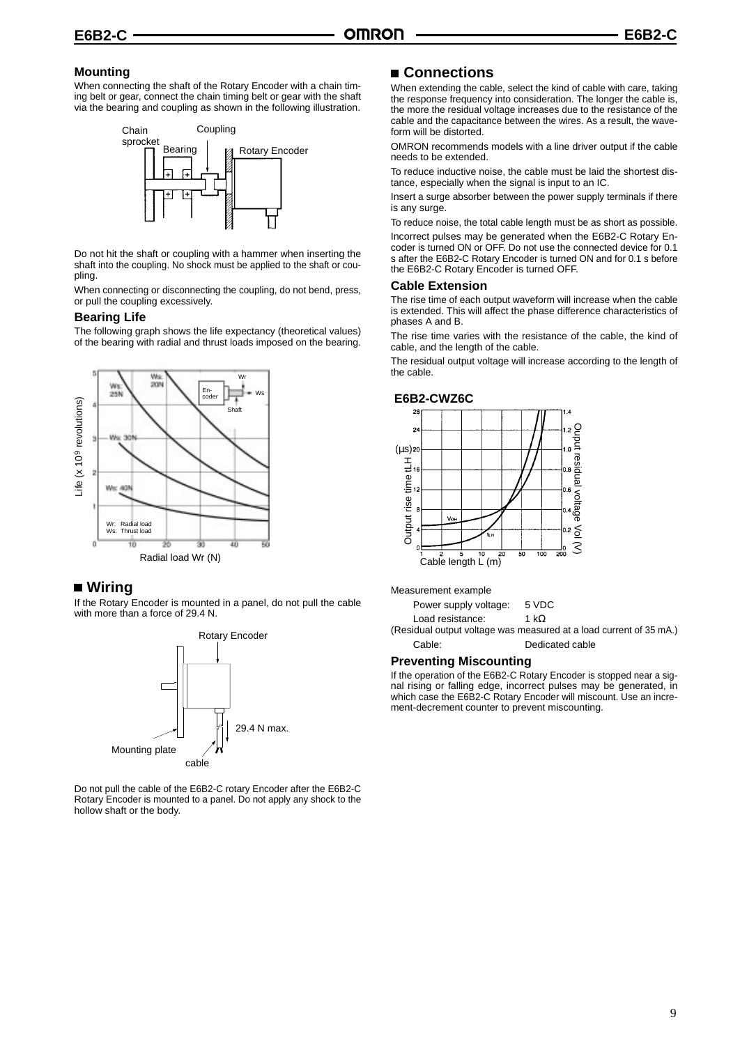# **Mounting**

When connecting the shaft of the Rotary Encoder with a chain timing belt or gear, connect the chain timing belt or gear with the shaft via the bearing and coupling as shown in the following illustration.



Do not hit the shaft or coupling with a hammer when inserting the shaft into the coupling. No shock must be applied to the shaft or coupling.

When connecting or disconnecting the coupling, do not bend, press, or pull the coupling excessively.

#### **Bearing Life**

The following graph shows the life expectancy (theoretical values) of the bearing with radial and thrust loads imposed on the bearing.



# ■ Wiring

If the Rotary Encoder is mounted in a panel, do not pull the cable with more than a force of 29.4 N.



Do not pull the cable of the E6B2-C rotary Encoder after the E6B2-C Rotary Encoder is mounted to a panel. Do not apply any shock to the hollow shaft or the body.

# **Connections**

When extending the cable, select the kind of cable with care, taking the response frequency into consideration. The longer the cable is, the more the residual voltage increases due to the resistance of the cable and the capacitance between the wires. As a result, the waveform will be distorted.

OMRON recommends models with a line driver output if the cable needs to be extended.

To reduce inductive noise, the cable must be laid the shortest distance, especially when the signal is input to an IC.

Insert a surge absorber between the power supply terminals if there is any surge.

To reduce noise, the total cable length must be as short as possible. Incorrect pulses may be generated when the E6B2-C Rotary Encoder is turned ON or OFF. Do not use the connected device for 0.1 s after the E6B2-C Rotary Encoder is turned ON and for 0.1 s before the E6B2-C Rotary Encoder is turned OFF.

#### **Cable Extension**

The rise time of each output waveform will increase when the cable is extended. This will affect the phase difference characteristics of phases A and B.

The rise time varies with the resistance of the cable, the kind of cable, and the length of the cable.

The residual output voltage will increase according to the length of the cable.



Measurement example

| Power supply voltage: | 5 VDC        |
|-----------------------|--------------|
| Load resistance:      | 1 k $\Omega$ |

(Residual output voltage was measured at a load current of 35 mA.) Cable: Dedicated cable

#### **Preventing Miscounting**

If the operation of the E6B2-C Rotary Encoder is stopped near a signal rising or falling edge, incorrect pulses may be generated, in which case the E6B2-C Rotary Encoder will miscount. Use an increment-decrement counter to prevent miscounting.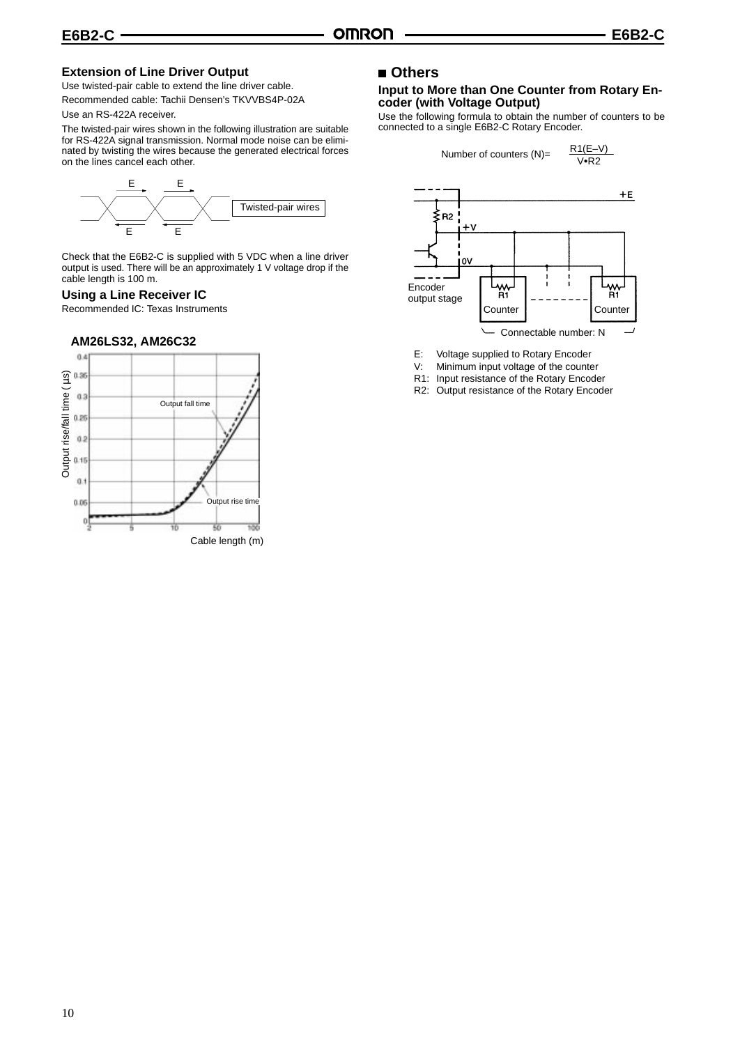# **Extension of Line Driver Output**

Use twisted-pair cable to extend the line driver cable. Recommended cable: Tachii Densen's TKVVBS4P-02A

#### Use an RS-422A receiver.

The twisted-pair wires shown in the following illustration are suitable for RS-422A signal transmission. Normal mode noise can be eliminated by twisting the wires because the generated electrical forces on the lines cancel each other.



Check that the E6B2-C is supplied with 5 VDC when a line driver output is used. There will be an approximately 1 V voltage drop if the cable length is 100 m.

#### **Using a Line Receiver IC**

Recommended IC: Texas Instruments

#### **AM26LS32, AM26C32**



# **Others**

### **Input to More than One Counter from Rotary Encoder (with Voltage Output)**

Use the following formula to obtain the number of counters to be connected to a single E6B2-C Rotary Encoder.



- E: Voltage supplied to Rotary Encoder
- V: Minimum input voltage of the counter
- R1: Input resistance of the Rotary Encoder
- R2: Output resistance of the Rotary Encoder